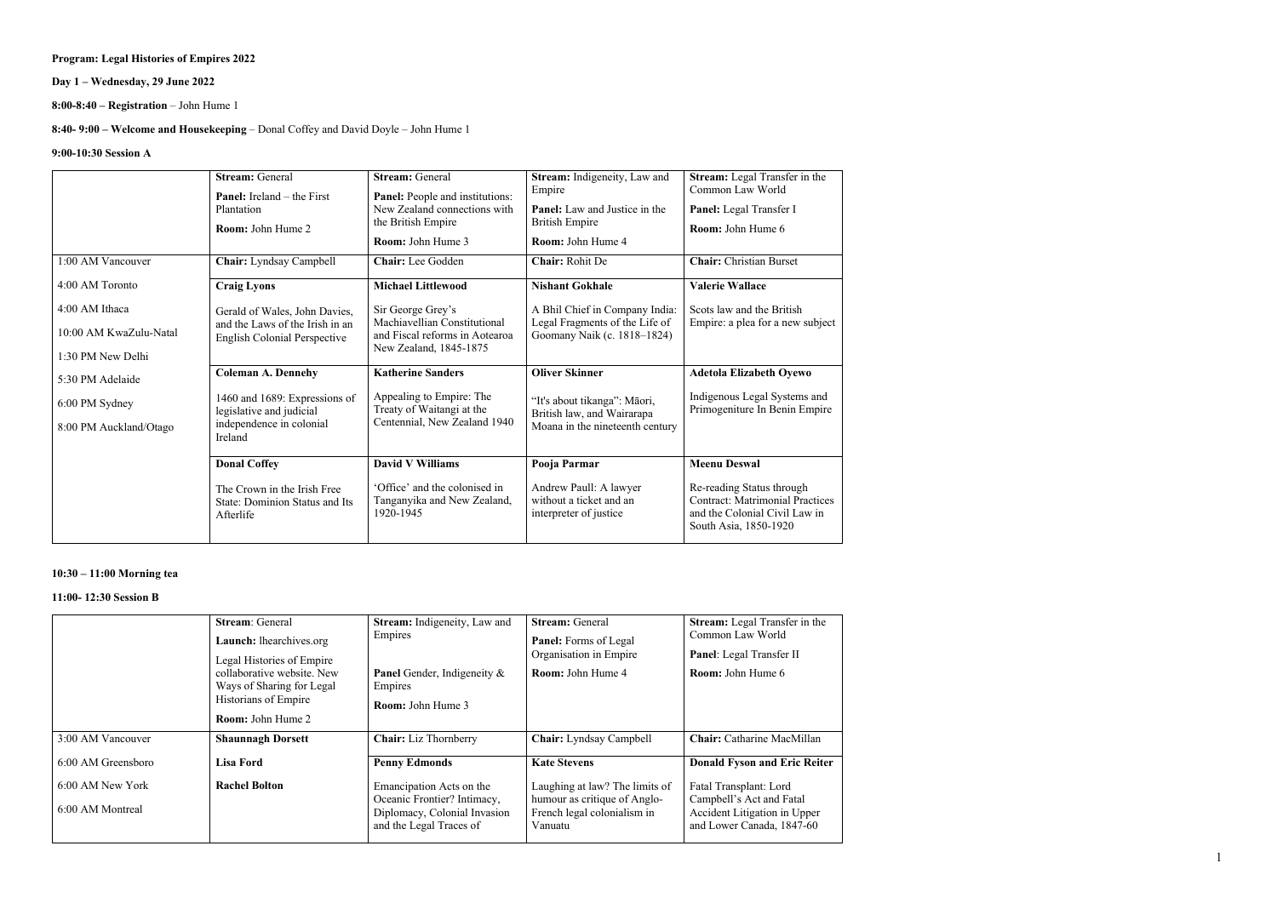1

## **Program: Legal Histories of Empires 2022**

## **Day 1 – Wednesday, 29 June 2022**

**8:00-8:40 – Registration** – John Hume 1

## **8:40- 9:00 – Welcome and Housekeeping** – Donal Coffey and David Doyle – John Hume 1

### **9:00-10:30 Session A**

|                        | <b>Stream: General</b><br><b>Panel:</b> Ireland – the First<br>Plantation<br><b>Room:</b> John Hume 2 | <b>Stream: General</b><br>Panel: People and institutions:<br>New Zealand connections with<br>the British Empire<br><b>Room:</b> John Hume 3 | Stream: Indigeneity, Law and<br>Empire<br><b>Panel:</b> Law and Justice in the<br><b>British Empire</b><br><b>Room:</b> John Hume 4 | Stream: Legal Transfer in the<br>Common Law World<br>Panel: Legal Transfer I<br><b>Room:</b> John Hume 6                      |
|------------------------|-------------------------------------------------------------------------------------------------------|---------------------------------------------------------------------------------------------------------------------------------------------|-------------------------------------------------------------------------------------------------------------------------------------|-------------------------------------------------------------------------------------------------------------------------------|
| 1:00 AM Vancouver      | Chair: Lyndsay Campbell                                                                               | Chair: Lee Godden                                                                                                                           | Chair: Rohit De                                                                                                                     | <b>Chair:</b> Christian Burset                                                                                                |
| 4:00 AM Toronto        | <b>Craig Lyons</b>                                                                                    | <b>Michael Littlewood</b>                                                                                                                   | <b>Nishant Gokhale</b>                                                                                                              | <b>Valerie Wallace</b>                                                                                                        |
| 4:00 AM Ithaca         | Gerald of Wales, John Davies,                                                                         | Sir George Grey's                                                                                                                           | A Bhil Chief in Company India:                                                                                                      | Scots law and the British                                                                                                     |
| 10:00 AM KwaZulu-Natal | and the Laws of the Irish in an<br><b>English Colonial Perspective</b>                                | Machiavellian Constitutional<br>and Fiscal reforms in Aotearoa                                                                              | Legal Fragments of the Life of<br>Goomany Naik (c. 1818-1824)                                                                       | Empire: a plea for a new subject                                                                                              |
| 1:30 PM New Delhi      |                                                                                                       | New Zealand, 1845-1875                                                                                                                      |                                                                                                                                     |                                                                                                                               |
| 5:30 PM Adelaide       | <b>Coleman A. Dennehy</b>                                                                             | <b>Katherine Sanders</b>                                                                                                                    | <b>Oliver Skinner</b>                                                                                                               | <b>Adetola Elizabeth Oyewo</b>                                                                                                |
| 6:00 PM Sydney         | 1460 and 1689: Expressions of<br>legislative and judicial                                             | Appealing to Empire: The<br>Treaty of Waitangi at the                                                                                       | "It's about tikanga": Māori,<br>British law, and Wairarapa                                                                          | Indigenous Legal Systems and<br>Primogeniture In Benin Empire                                                                 |
| 8:00 PM Auckland/Otago | independence in colonial<br>Ireland                                                                   | Centennial, New Zealand 1940                                                                                                                | Moana in the nineteenth century                                                                                                     |                                                                                                                               |
|                        | <b>Donal Coffey</b>                                                                                   | <b>David V Williams</b>                                                                                                                     | Pooja Parmar                                                                                                                        | <b>Meenu Deswal</b>                                                                                                           |
|                        | The Crown in the Irish Free<br>State: Dominion Status and Its<br>Afterlife                            | 'Office' and the colonised in<br>Tanganyika and New Zealand,<br>1920-1945                                                                   | Andrew Paull: A lawyer<br>without a ticket and an<br>interpreter of justice                                                         | Re-reading Status through<br><b>Contract: Matrimonial Practices</b><br>and the Colonial Civil Law in<br>South Asia, 1850-1920 |

## **10:30 – 11:00 Morning tea**

### **11:00- 12:30 Session B**

|                                      | <b>Stream: General</b><br>Launch: lhearchives.org<br>Legal Histories of Empire<br>collaborative website. New<br>Ways of Sharing for Legal<br>Historians of Empire<br><b>Room:</b> John Hume 2 | Stream: Indigeneity, Law and<br>Empires<br><b>Panel</b> Gender, Indigeneity &<br>Empires<br><b>Room:</b> John Hume 3 | <b>Stream: General</b><br><b>Panel:</b> Forms of Legal<br>Organisation in Empire<br><b>Room:</b> John Hume 4 | Stream: Legal Transfer in the<br>Common Law World<br>Panel: Legal Transfer II<br><b>Room:</b> John Hume 6       |
|--------------------------------------|-----------------------------------------------------------------------------------------------------------------------------------------------------------------------------------------------|----------------------------------------------------------------------------------------------------------------------|--------------------------------------------------------------------------------------------------------------|-----------------------------------------------------------------------------------------------------------------|
| 3:00 AM Vancouver                    | <b>Shaunnagh Dorsett</b>                                                                                                                                                                      | <b>Chair:</b> Liz Thornberry                                                                                         | Chair: Lyndsay Campbell                                                                                      | Chair: Catharine MacMillan                                                                                      |
| 6:00 AM Greensboro                   | Lisa Ford                                                                                                                                                                                     | <b>Penny Edmonds</b>                                                                                                 | <b>Kate Stevens</b>                                                                                          | <b>Donald Fyson and Eric Reiter</b>                                                                             |
| 6:00 AM New York<br>6:00 AM Montreal | <b>Rachel Bolton</b>                                                                                                                                                                          | Emancipation Acts on the<br>Oceanic Frontier? Intimacy,<br>Diplomacy, Colonial Invasion<br>and the Legal Traces of   | Laughing at law? The limits of<br>humour as critique of Anglo-<br>French legal colonialism in<br>Vanuatu     | Fatal Transplant: Lord<br>Campbell's Act and Fatal<br>Accident Litigation in Upper<br>and Lower Canada, 1847-60 |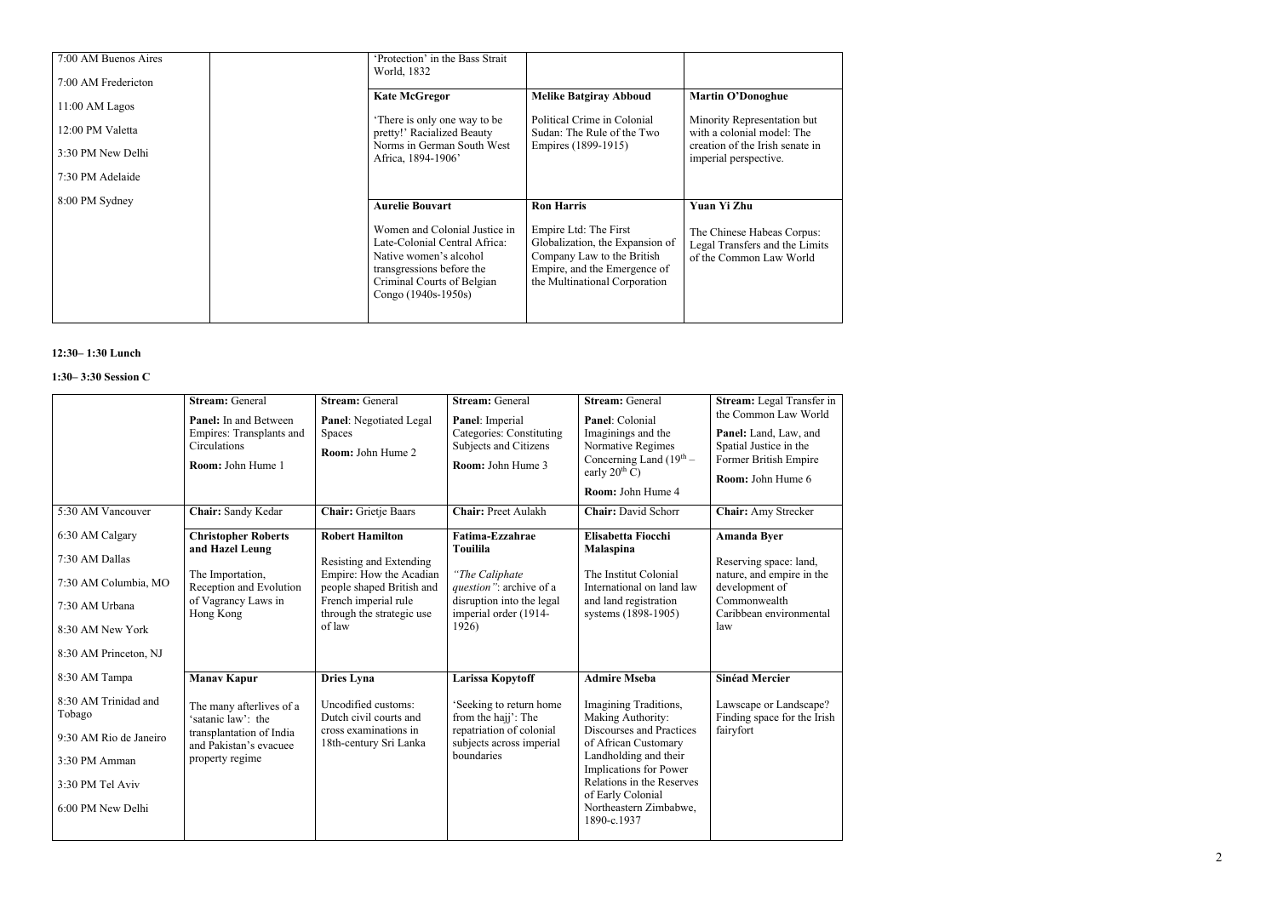| 7:00 AM Buenos Aires<br>7:00 AM Fredericton                                 | 'Protection' in the Bass Strait<br>World, 1832                                                                                        |                                                                                                                   |                                                                                                                                                   |
|-----------------------------------------------------------------------------|---------------------------------------------------------------------------------------------------------------------------------------|-------------------------------------------------------------------------------------------------------------------|---------------------------------------------------------------------------------------------------------------------------------------------------|
| 11:00 AM Lagos<br>12:00 PM Valetta<br>3:30 PM New Delhi<br>7:30 PM Adelaide | <b>Kate McGregor</b><br>There is only one way to be<br>pretty!' Racialized Beauty<br>Norms in German South West<br>Africa, 1894-1906' | <b>Melike Batgiray Abboud</b><br>Political Crime in Colonial<br>Sudan: The Rule of the Two<br>Empires (1899-1915) | <b>Martin O'Donoghue</b><br>Minority Representation but<br>with a colonial model: The<br>creation of the Irish senate in<br>imperial perspective. |
| 8:00 PM Sydney                                                              | <b>Aurelie Bouvart</b><br>Women and Colonial Justice in<br>Late-Colonial Central Africa:                                              | <b>Ron Harris</b><br>Empire Ltd: The First<br>Globalization, the Expansion of                                     | <b>Yuan Yi Zhu</b><br>The Chinese Habeas Corpus:<br>Legal Transfers and the Limits                                                                |
|                                                                             | Native women's alcohol<br>transgressions before the<br>Criminal Courts of Belgian<br>Congo (1940s-1950s)                              | Company Law to the British<br>Empire, and the Emergence of<br>the Multinational Corporation                       | of the Common Law World                                                                                                                           |

#### **1 2 :30 – 1:30 Lunch**

#### **1:30 – 3:30 Session C**

| 5:30 AM Vancouver                                                                                                                   | <b>Stream: General</b><br>Panel: In and Between<br>Empires: Transplants and<br>Circulations<br>Room: John Hume 1<br>Chair: Sandy Kedar        | <b>Stream: General</b><br><b>Panel:</b> Negotiated Legal<br>Spaces<br>Room: John Hume 2<br><b>Chair:</b> Grietje Baars                                                   | <b>Stream: General</b><br>Panel: Imperial<br><b>Categories: Constituting</b><br>Subjects and Citizens<br>Room: John Hume 3<br><b>Chair: Preet Aulakh</b> | <b>Stream: General</b><br>Panel: Colonial<br>Imaginings and the<br>Normative Regimes<br>Concerning Land $(19th –$<br>early $20^{th}$ C)<br>Room: John Hume 4<br><b>Chair:</b> David Schorr                                                                          | Stream: Legal Transfer in<br>the Common Law World<br>Panel: Land, Law, and<br>Spatial Justice in the<br>Former British Empire<br>Room: John Hume 6<br><b>Chair:</b> Amy Strecker |
|-------------------------------------------------------------------------------------------------------------------------------------|-----------------------------------------------------------------------------------------------------------------------------------------------|--------------------------------------------------------------------------------------------------------------------------------------------------------------------------|----------------------------------------------------------------------------------------------------------------------------------------------------------|---------------------------------------------------------------------------------------------------------------------------------------------------------------------------------------------------------------------------------------------------------------------|----------------------------------------------------------------------------------------------------------------------------------------------------------------------------------|
| 6:30 AM Calgary<br>7:30 AM Dallas<br>7:30 AM Columbia, MO<br>7:30 AM Urbana<br>8:30 AM New York<br>8:30 AM Princeton, NJ            | <b>Christopher Roberts</b><br>and Hazel Leung<br>The Importation,<br>Reception and Evolution<br>of Vagrancy Laws in<br>Hong Kong              | <b>Robert Hamilton</b><br>Resisting and Extending<br>Empire: How the Acadian<br>people shaped British and<br>French imperial rule<br>through the strategic use<br>of law | Fatima-Ezzahrae<br><b>Touilila</b><br>"The Caliphate<br>question": archive of a<br>disruption into the legal<br>imperial order (1914-<br>1926)           | Elisabetta Fiocchi<br><b>Malaspina</b><br>The Institut Colonial<br>International on land law<br>and land registration<br>systems (1898-1905)                                                                                                                        | <b>Amanda Byer</b><br>Reserving space: land,<br>nature, and empire in the<br>development of<br>Commonwealth<br>Caribbean environmental<br>law                                    |
| 8:30 AM Tampa<br>8:30 AM Trinidad and<br>Tobago<br>9:30 AM Rio de Janeiro<br>3:30 PM Amman<br>3:30 PM Tel Aviv<br>6:00 PM New Delhi | <b>Manav Kapur</b><br>The many afterlives of a<br>'satanic law': the<br>transplantation of India<br>and Pakistan's evacuee<br>property regime | <b>Dries Lyna</b><br>Uncodified customs:<br>Dutch civil courts and<br>cross examinations in<br>18th-century Sri Lanka                                                    | <b>Larissa Kopytoff</b><br>'Seeking to return home<br>from the hajj': The<br>repatriation of colonial<br>subjects across imperial<br>boundaries          | <b>Admire Mseba</b><br>Imagining Traditions,<br>Making Authority:<br>Discourses and Practices<br>of African Customary<br>Landholding and their<br>Implications for Power<br>Relations in the Reserves<br>of Early Colonial<br>Northeastern Zimbabwe,<br>1890-c.1937 | <b>Sinéad Mercier</b><br>Lawscape or Landscape?<br>Finding space for the Irish<br>fairyfort                                                                                      |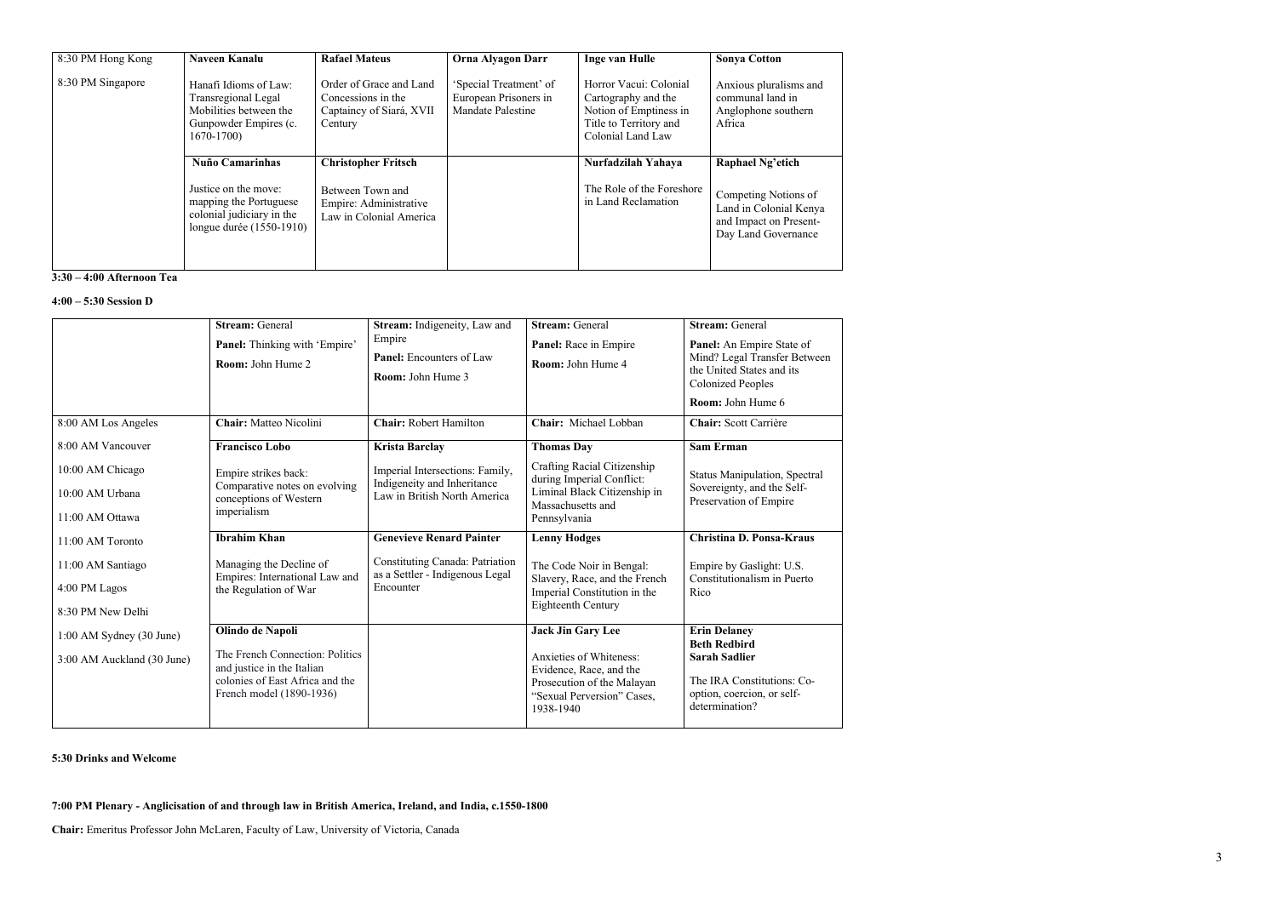| 8:30 PM Hong Kong | <b>Naveen Kanalu</b>                                                                                                              | <b>Rafael Mateus</b>                                                                                | <b>Orna Alyagon Darr</b>                                             | <b>Inge van Hulle</b>                                                                                                  | <b>Sonya Cotton</b>                                                                                                 |
|-------------------|-----------------------------------------------------------------------------------------------------------------------------------|-----------------------------------------------------------------------------------------------------|----------------------------------------------------------------------|------------------------------------------------------------------------------------------------------------------------|---------------------------------------------------------------------------------------------------------------------|
| 8:30 PM Singapore | Hanafi Idioms of Law:<br>Transregional Legal<br>Mobilities between the<br>Gunpowder Empires (c.<br>$1670 - 1700$                  | Order of Grace and Land<br>Concessions in the<br>Captaincy of Siará, XVII<br>Century                | 'Special Treatment' of<br>European Prisoners in<br>Mandate Palestine | Horror Vacui: Colonial<br>Cartography and the<br>Notion of Emptiness in<br>Title to Territory and<br>Colonial Land Law | Anxious pluralisms and<br>communal land in<br>Anglophone southern<br>Africa                                         |
|                   | <b>Nuño Camarinhas</b><br>Justice on the move:<br>mapping the Portuguese<br>colonial judiciary in the<br>longue durée (1550-1910) | <b>Christopher Fritsch</b><br>Between Town and<br>Empire: Administrative<br>Law in Colonial America |                                                                      | Nurfadzilah Yahaya<br>The Role of the Foreshore<br>in Land Reclamation                                                 | Raphael Ng'etich<br>Competing Notions of<br>Land in Colonial Kenya<br>and Impact on Present-<br>Day Land Governance |

#### **3:30 – 4:00 Afternoon Tea**

### **4:00 – 5:30 Session D**

| 8:00 AM Los Angeles                                        | <b>Stream: General</b><br>Panel: Thinking with 'Empire'<br>Room: John Hume 2<br>Chair: Matteo Nicolini                                           | Stream: Indigeneity, Law and<br>Empire<br><b>Panel:</b> Encounters of Law<br><b>Room:</b> John Hume 3<br><b>Chair: Robert Hamilton</b> | <b>Stream: General</b><br>Panel: Race in Empire<br>Room: John Hume 4<br>Chair: Michael Lobban                                                           | <b>Stream: General</b><br>Panel: An Empire State of<br>Mind? Legal Transfer Between<br>the United States and its<br><b>Colonized Peoples</b><br>Room: John Hume 6<br>Chair: Scott Carrière |
|------------------------------------------------------------|--------------------------------------------------------------------------------------------------------------------------------------------------|----------------------------------------------------------------------------------------------------------------------------------------|---------------------------------------------------------------------------------------------------------------------------------------------------------|--------------------------------------------------------------------------------------------------------------------------------------------------------------------------------------------|
| 8:00 AM Vancouver                                          | <b>Francisco Lobo</b>                                                                                                                            | <b>Krista Barclay</b>                                                                                                                  | <b>Thomas Day</b>                                                                                                                                       | <b>Sam Erman</b>                                                                                                                                                                           |
| 10:00 AM Chicago<br>10:00 AM Urbana<br>11:00 AM Ottawa     | Empire strikes back:<br>Comparative notes on evolving<br>conceptions of Western<br>imperialism                                                   | Imperial Intersections: Family,<br>Indigeneity and Inheritance<br>Law in British North America                                         | Crafting Racial Citizenship<br>during Imperial Conflict:<br>Liminal Black Citizenship in<br>Massachusetts and<br>Pennsylvania                           | <b>Status Manipulation, Spectral</b><br>Sovereignty, and the Self-<br>Preservation of Empire                                                                                               |
| 11:00 AM Toronto                                           | <b>Ibrahim Khan</b>                                                                                                                              | <b>Genevieve Renard Painter</b>                                                                                                        | <b>Lenny Hodges</b>                                                                                                                                     | <b>Christina D. Ponsa-Kraus</b>                                                                                                                                                            |
| 11:00 AM Santiago<br>4:00 PM Lagos<br>8:30 PM New Delhi    | Managing the Decline of<br>Empires: International Law and<br>the Regulation of War                                                               | <b>Constituting Canada: Patriation</b><br>as a Settler - Indigenous Legal<br>Encounter                                                 | The Code Noir in Bengal:<br>Slavery, Race, and the French<br>Imperial Constitution in the<br>Eighteenth Century                                         | Empire by Gaslight: U.S.<br>Constitutionalism in Puerto<br>Rico                                                                                                                            |
| $1:00$ AM Sydney $(30$ June)<br>3:00 AM Auckland (30 June) | Olindo de Napoli<br>The French Connection: Politics<br>and justice in the Italian<br>colonies of East Africa and the<br>French model (1890-1936) |                                                                                                                                        | <b>Jack Jin Gary Lee</b><br>Anxieties of Whiteness:<br>Evidence, Race, and the<br>Prosecution of the Malayan<br>"Sexual Perversion" Cases,<br>1938-1940 | <b>Erin Delaney</b><br><b>Beth Redbird</b><br><b>Sarah Sadlier</b><br>The IRA Constitutions: Co-<br>option, coercion, or self-<br>determination?                                           |

### **5:30 Drinks and Welcome**

**7:00 PM Plenary - Anglicisation of and through law in British America, Ireland, and India, c.1550-1800**

**Chair:** Emeritus Professor John McLaren, Faculty of Law, University of Victoria, Canada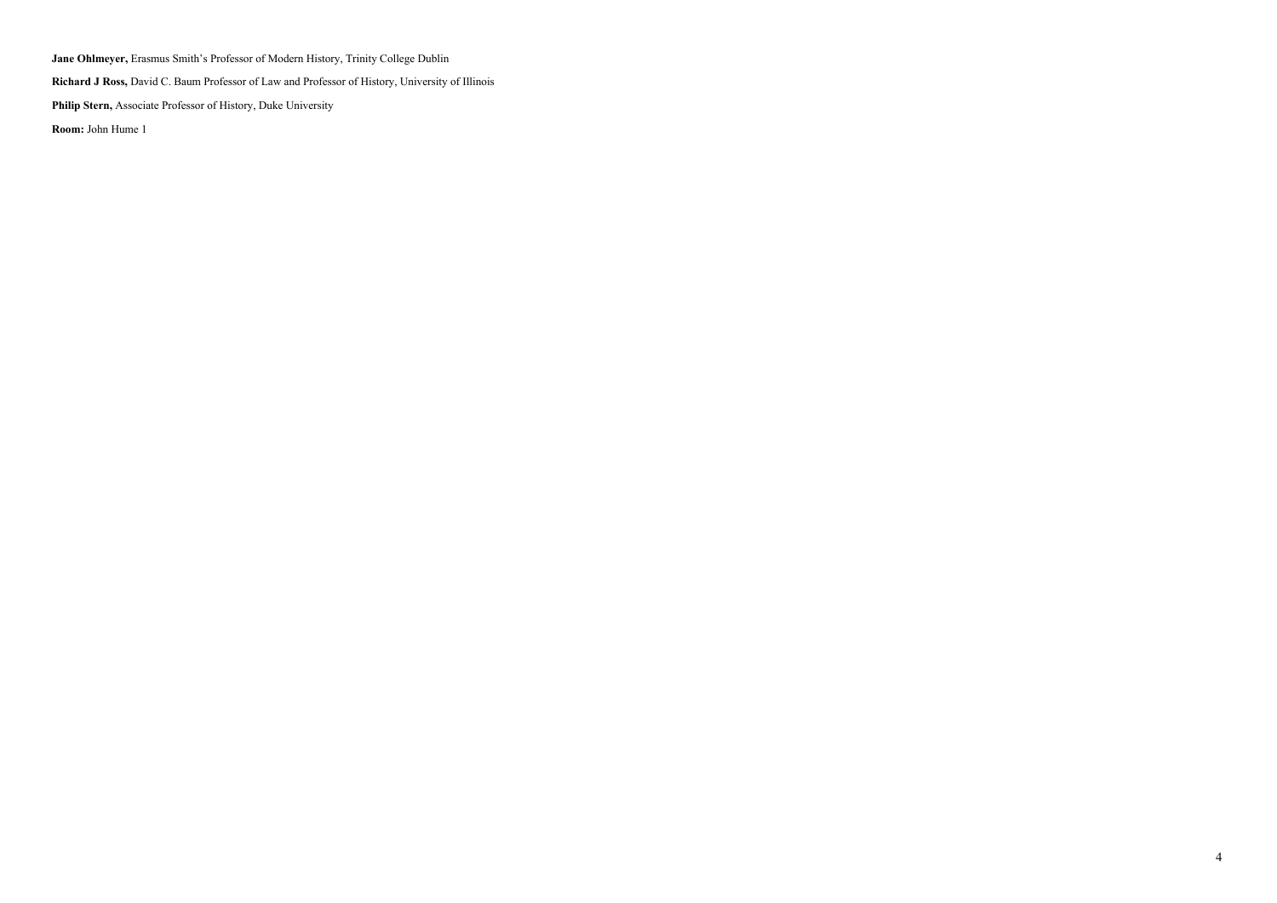**Jane Ohlmeyer,** Erasmus Smith's Professor of Modern History, Trinity College Dublin

**Richard J Ross,** David C. Baum Professor of Law and Professor of History, University of Illinois

**Philip Stern,** Associate Professor of History, Duke University

**Room:** John Hume 1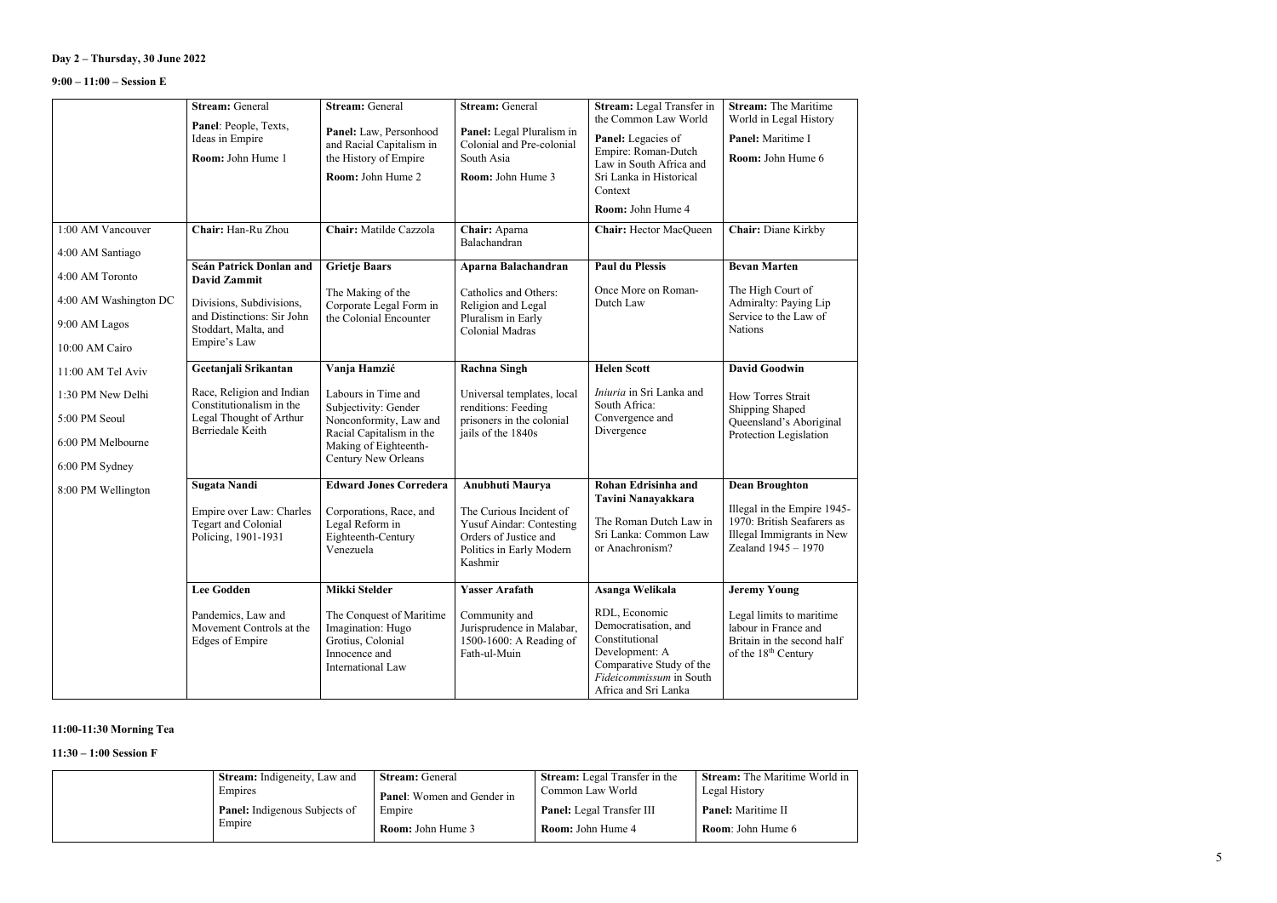# **Day 2 – Thursday, 30 June 2022**

## **9:00 – 11:00 – Session E**

|                       | <b>Stream: General</b><br>Panel: People, Texts,                   | <b>Stream: General</b><br>Panel: Law, Personhood                                                         | <b>Stream: General</b><br>Panel: Legal Pluralism in                                   | Stream: Legal Transfer in<br>the Common Law World                                                                                                        | <b>Stream:</b> The Maritime<br>World in Legal History                                                             |
|-----------------------|-------------------------------------------------------------------|----------------------------------------------------------------------------------------------------------|---------------------------------------------------------------------------------------|----------------------------------------------------------------------------------------------------------------------------------------------------------|-------------------------------------------------------------------------------------------------------------------|
|                       | Ideas in Empire<br>Room: John Hume 1                              | and Racial Capitalism in<br>the History of Empire                                                        | Colonial and Pre-colonial<br>South Asia                                               | Panel: Legacies of<br>Empire: Roman-Dutch<br>Law in South Africa and                                                                                     | Panel: Maritime I<br>Room: John Hume 6                                                                            |
|                       |                                                                   | Room: John Hume 2                                                                                        | Room: John Hume 3                                                                     | Sri Lanka in Historical<br>Context                                                                                                                       |                                                                                                                   |
|                       |                                                                   |                                                                                                          |                                                                                       | Room: John Hume 4                                                                                                                                        |                                                                                                                   |
| 1:00 AM Vancouver     | Chair: Han-Ru Zhou                                                | Chair: Matilde Cazzola                                                                                   | Chair: Aparna<br>Balachandran                                                         | <b>Chair:</b> Hector MacQueen                                                                                                                            | Chair: Diane Kirkby                                                                                               |
| 4:00 AM Santiago      | Seán Patrick Donlan and                                           | <b>Grietje Baars</b>                                                                                     | Aparna Balachandran                                                                   | <b>Paul du Plessis</b>                                                                                                                                   | <b>Bevan Marten</b>                                                                                               |
| 4:00 AM Toronto       | <b>David Zammit</b>                                               |                                                                                                          |                                                                                       |                                                                                                                                                          |                                                                                                                   |
| 4:00 AM Washington DC | Divisions, Subdivisions,                                          | The Making of the<br>Corporate Legal Form in                                                             | Catholics and Others:<br>Religion and Legal                                           | Once More on Roman-<br>Dutch Law                                                                                                                         | The High Court of<br>Admiralty: Paying Lip                                                                        |
| 9:00 AM Lagos         | and Distinctions: Sir John<br>Stoddart, Malta, and                | the Colonial Encounter                                                                                   | Pluralism in Early<br><b>Colonial Madras</b>                                          |                                                                                                                                                          | Service to the Law of<br><b>Nations</b>                                                                           |
| 10:00 AM Cairo        | Empire's Law                                                      |                                                                                                          |                                                                                       |                                                                                                                                                          |                                                                                                                   |
| 11:00 AM Tel Aviv     | Geetanjali Srikantan                                              | Vanja Hamzić                                                                                             | <b>Rachna Singh</b>                                                                   | <b>Helen Scott</b>                                                                                                                                       | <b>David Goodwin</b>                                                                                              |
| 1:30 PM New Delhi     | Race, Religion and Indian<br>Constitutionalism in the             | Labours in Time and<br>Subjectivity: Gender                                                              | Universal templates, local<br>renditions: Feeding                                     | <i>Iniuria</i> in Sri Lanka and<br>South Africa:                                                                                                         | How Torres Strait<br>Shipping Shaped                                                                              |
| 5:00 PM Seoul         | Legal Thought of Arthur<br>Berriedale Keith                       | Nonconformity, Law and<br>Racial Capitalism in the                                                       | prisoners in the colonial<br>jails of the 1840s                                       | Convergence and<br>Divergence                                                                                                                            | Queensland's Aboriginal                                                                                           |
| 6:00 PM Melbourne     |                                                                   | Making of Eighteenth-<br>Century New Orleans                                                             |                                                                                       |                                                                                                                                                          | Protection Legislation                                                                                            |
| 6:00 PM Sydney        |                                                                   |                                                                                                          |                                                                                       |                                                                                                                                                          |                                                                                                                   |
| 8:00 PM Wellington    | <b>Sugata Nandi</b>                                               | <b>Edward Jones Corredera</b>                                                                            | Anubhuti Maurya                                                                       | Rohan Edrisinha and<br>Tavini Nanayakkara                                                                                                                | <b>Dean Broughton</b>                                                                                             |
|                       | Empire over Law: Charles                                          | Corporations, Race, and                                                                                  | The Curious Incident of                                                               | The Roman Dutch Law in                                                                                                                                   | Illegal in the Empire 1945-<br>1970: British Seafarers as                                                         |
|                       | Tegart and Colonial<br>Policing, 1901-1931                        | Legal Reform in<br>Eighteenth-Century                                                                    | <b>Yusuf Aindar: Contesting</b><br>Orders of Justice and                              | Sri Lanka: Common Law                                                                                                                                    | Illegal Immigrants in New                                                                                         |
|                       |                                                                   | Venezuela                                                                                                | Politics in Early Modern<br>Kashmir                                                   | or Anachronism?                                                                                                                                          | Zealand 1945 - 1970                                                                                               |
|                       | <b>Lee Godden</b>                                                 | <b>Mikki Stelder</b>                                                                                     | <b>Yasser Arafath</b>                                                                 | Asanga Welikala                                                                                                                                          | <b>Jeremy Young</b>                                                                                               |
|                       | Pandemics, Law and<br>Movement Controls at the<br>Edges of Empire | The Conquest of Maritime<br>Imagination: Hugo<br>Grotius, Colonial<br>Innocence and<br>International Law | Community and<br>Jurisprudence in Malabar,<br>1500-1600: A Reading of<br>Fath-ul-Muin | RDL, Economic<br>Democratisation, and<br>Constitutional<br>Development: A<br>Comparative Study of the<br>Fideicommissum in South<br>Africa and Sri Lanka | Legal limits to maritime<br>labour in France and<br>Britain in the second half<br>of the 18 <sup>th</sup> Century |

## **11:00-11:30 Morning Tea**

## **11:30 – 1:00 Session F**

|        | <b>Stream:</b> Indigeneity, Law and  | <b>Stream:</b> General            | <b>Stream:</b> Legal Transfer in the | <b>Stream:</b> The Maritime World in |
|--------|--------------------------------------|-----------------------------------|--------------------------------------|--------------------------------------|
|        | Empires                              | <b>Panel:</b> Women and Gender in | Common Law World                     | Legal History                        |
|        | <b>Panel:</b> Indigenous Subjects of | Empire                            | <b>Panel:</b> Legal Transfer III     | <b>Panel:</b> Maritime II            |
| Empire | <b>Room:</b> John Hume 3             | <b>Room:</b> John Hume 4          | <b>Room:</b> John Hume 6             |                                      |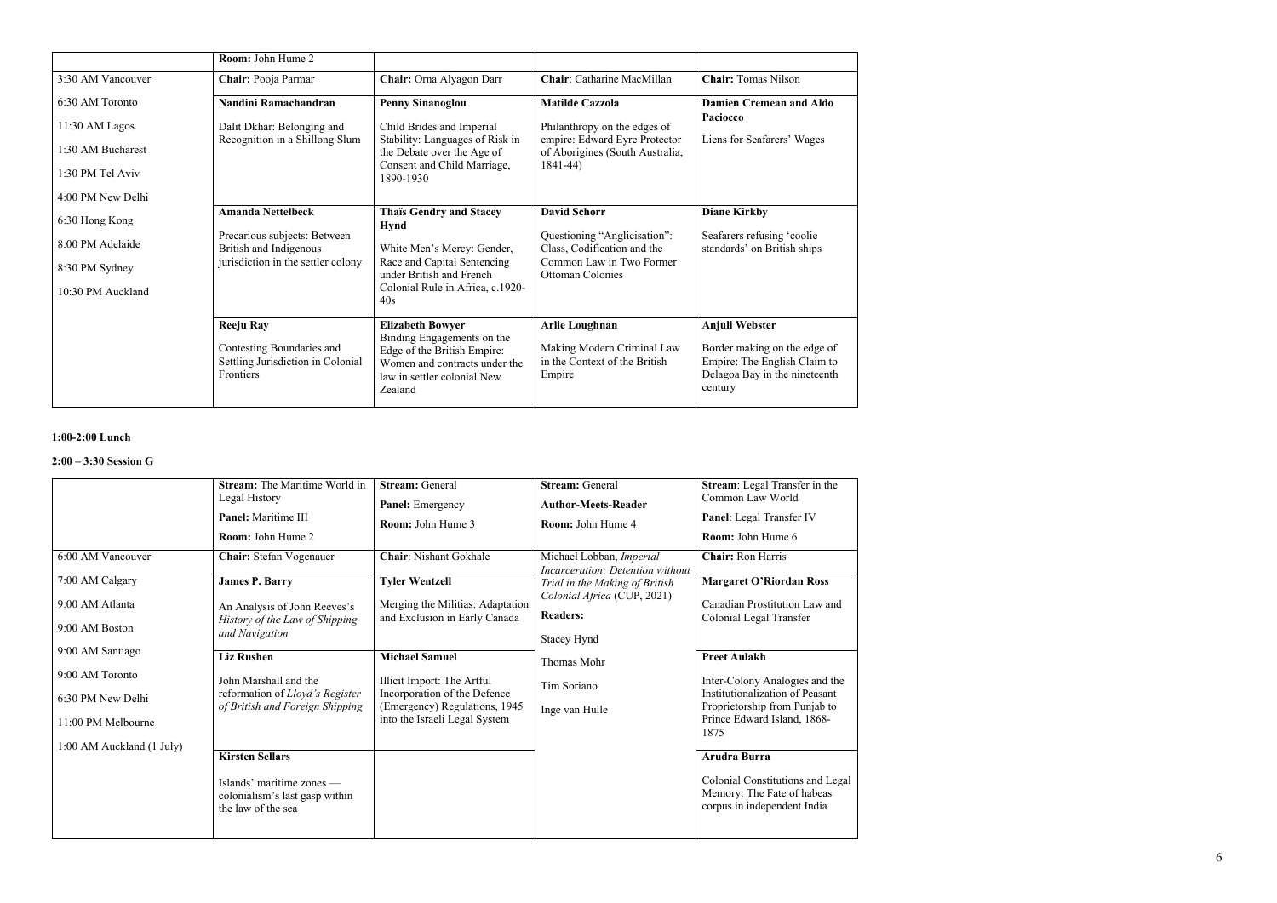|                   | Room: John Hume 2                                                           |                                                                                                                                      |                                                                       |                                                                                                          |
|-------------------|-----------------------------------------------------------------------------|--------------------------------------------------------------------------------------------------------------------------------------|-----------------------------------------------------------------------|----------------------------------------------------------------------------------------------------------|
| 3:30 AM Vancouver | Chair: Pooja Parmar                                                         | Chair: Orna Alyagon Darr                                                                                                             | Chair: Catharine MacMillan                                            | <b>Chair:</b> Tomas Nilson                                                                               |
| 6:30 AM Toronto   | Nandini Ramachandran                                                        | <b>Penny Sinanoglou</b>                                                                                                              | <b>Matilde Cazzola</b>                                                | <b>Damien Cremean and Aldo</b><br>Paciocco                                                               |
| 11:30 AM Lagos    | Dalit Dkhar: Belonging and<br>Recognition in a Shillong Slum                | Child Brides and Imperial<br>Stability: Languages of Risk in                                                                         | Philanthropy on the edges of<br>empire: Edward Eyre Protector         | Liens for Seafarers' Wages                                                                               |
| 1:30 AM Bucharest |                                                                             | the Debate over the Age of                                                                                                           | of Aborigines (South Australia,                                       |                                                                                                          |
| 1:30 PM Tel Aviv  |                                                                             | Consent and Child Marriage,<br>1890-1930                                                                                             | $1841 - 44$                                                           |                                                                                                          |
| 4:00 PM New Delhi |                                                                             |                                                                                                                                      |                                                                       |                                                                                                          |
| 6:30 Hong Kong    | <b>Amanda Nettelbeck</b>                                                    | <b>Thaïs Gendry and Stacey</b><br><b>Hynd</b>                                                                                        | <b>David Schorr</b>                                                   | <b>Diane Kirkby</b>                                                                                      |
| 8:00 PM Adelaide  | Precarious subjects: Between<br>British and Indigenous                      | White Men's Mercy: Gender,                                                                                                           | Questioning "Anglicisation":<br>Class, Codification and the           | Seafarers refusing 'coolie<br>standards' on British ships                                                |
| 8:30 PM Sydney    | jurisdiction in the settler colony                                          | Race and Capital Sentencing<br>under British and French                                                                              | Common Law in Two Former<br><b>Ottoman Colonies</b>                   |                                                                                                          |
| 10:30 PM Auckland |                                                                             | Colonial Rule in Africa, c.1920-<br>40s                                                                                              |                                                                       |                                                                                                          |
|                   | <b>Reeju Ray</b>                                                            | <b>Elizabeth Bowyer</b>                                                                                                              | <b>Arlie Loughnan</b>                                                 | Anjuli Webster                                                                                           |
|                   | Contesting Boundaries and<br>Settling Jurisdiction in Colonial<br>Frontiers | Binding Engagements on the<br>Edge of the British Empire:<br>Women and contracts under the<br>law in settler colonial New<br>Zealand | Making Modern Criminal Law<br>in the Context of the British<br>Empire | Border making on the edge of<br>Empire: The English Claim to<br>Delagoa Bay in the nineteenth<br>century |

#### **1:00 -2:00 Lunch**

#### **2 :00 – 3 :30 Session G**

|                                                                                                             | <b>Stream:</b> The Maritime World in<br>Legal History<br><b>Panel:</b> Maritime III<br><b>Room:</b> John Hume 2  | <b>Stream: General</b><br><b>Panel:</b> Emergency<br><b>Room:</b> John Hume 3                                                                         | <b>Stream: General</b><br><b>Author-Meets-Reader</b><br>Room: John Hume 4                              | Stream: Legal Transfer in the<br>Common Law World<br>Panel: Legal Transfer IV<br><b>Room:</b> John Hume 6                                                        |
|-------------------------------------------------------------------------------------------------------------|------------------------------------------------------------------------------------------------------------------|-------------------------------------------------------------------------------------------------------------------------------------------------------|--------------------------------------------------------------------------------------------------------|------------------------------------------------------------------------------------------------------------------------------------------------------------------|
| 6:00 AM Vancouver                                                                                           | <b>Chair:</b> Stefan Vogenauer                                                                                   | <b>Chair: Nishant Gokhale</b>                                                                                                                         | Michael Lobban, Imperial<br>Incarceration: Detention without                                           | <b>Chair: Ron Harris</b>                                                                                                                                         |
| 7:00 AM Calgary<br>9:00 AM Atlanta<br>9:00 AM Boston                                                        | <b>James P. Barry</b><br>An Analysis of John Reeves's<br>History of the Law of Shipping<br>and Navigation        | <b>Tyler Wentzell</b><br>Merging the Militias: Adaptation<br>and Exclusion in Early Canada                                                            | Trial in the Making of British<br>Colonial Africa (CUP, 2021)<br><b>Readers:</b><br><b>Stacey Hynd</b> | <b>Margaret O'Riordan Ross</b><br>Canadian Prostitution Law and<br>Colonial Legal Transfer                                                                       |
| 9:00 AM Santiago<br>9:00 AM Toronto<br>6:30 PM New Delhi<br>11:00 PM Melbourne<br>1:00 AM Auckland (1 July) | <b>Liz Rushen</b><br>John Marshall and the<br>reformation of Lloyd's Register<br>of British and Foreign Shipping | <b>Michael Samuel</b><br>Illicit Import: The Artful<br>Incorporation of the Defence<br>(Emergency) Regulations, 1945<br>into the Israeli Legal System | Thomas Mohr<br>Tim Soriano<br>Inge van Hulle                                                           | <b>Preet Aulakh</b><br>Inter-Colony Analogies and the<br>Institutionalization of Peasant<br>Proprietorship from Punjab to<br>Prince Edward Island, 1868-<br>1875 |
|                                                                                                             | <b>Kirsten Sellars</b><br>Islands' maritime zones -<br>colonialism's last gasp within<br>the law of the sea      |                                                                                                                                                       |                                                                                                        | <b>Arudra Burra</b><br>Colonial Constitutions and Legal<br>Memory: The Fate of habeas<br>corpus in independent India                                             |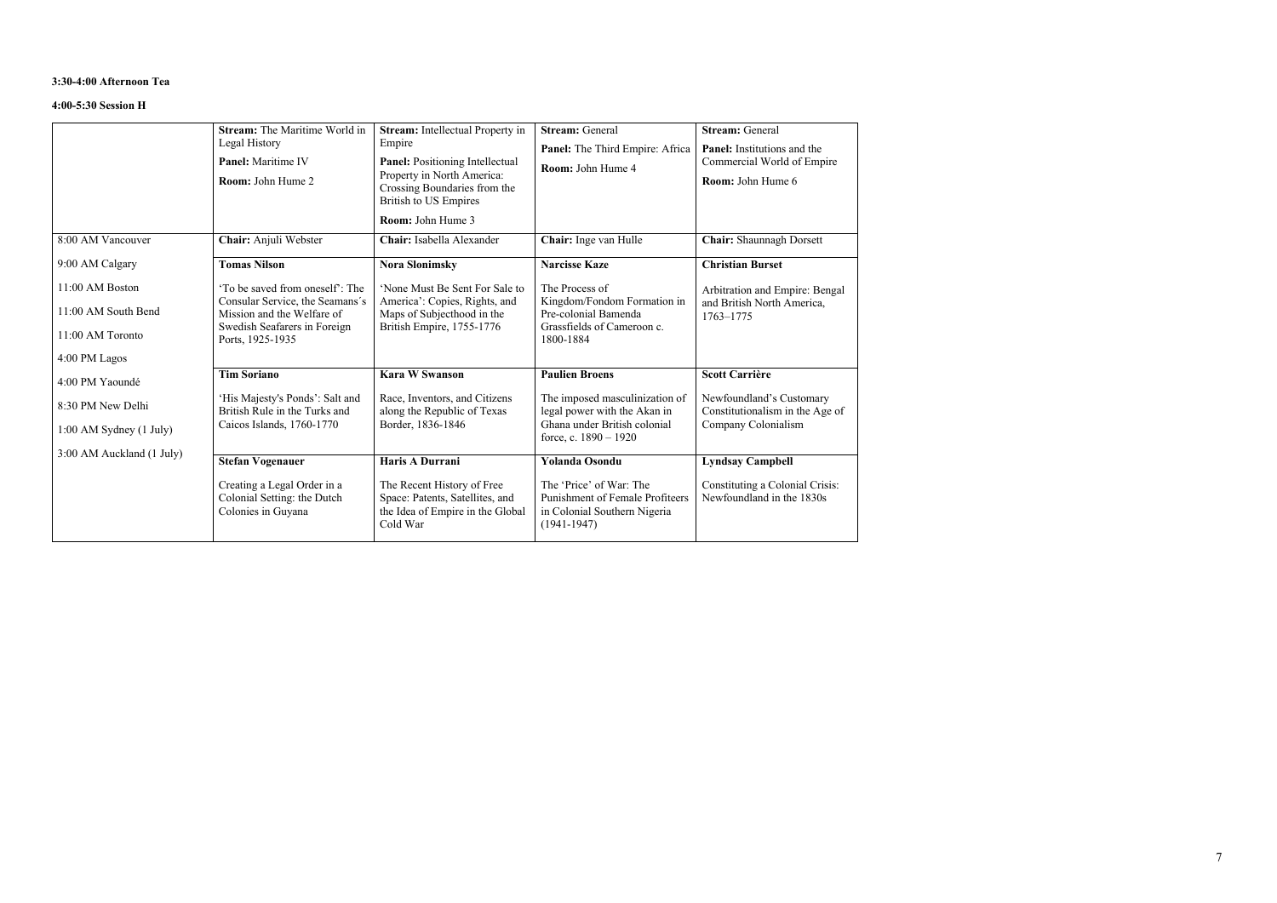#### **3:30-4:00 Afternoon Tea**

### **4:00-5:30 Session H**

| 8:00 AM Vancouver                                                             | <b>Stream:</b> The Maritime World in<br>Legal History<br><b>Panel:</b> Maritime IV<br>Room: John Hume 2<br>Chair: Anjuli Webster                     | <b>Stream:</b> Intellectual Property in<br>Empire<br><b>Panel:</b> Positioning Intellectual<br>Property in North America:<br>Crossing Boundaries from the<br>British to US Empires<br>Room: John Hume 3<br>Chair: Isabella Alexander | <b>Stream: General</b><br>Panel: The Third Empire: Africa<br>Room: John Hume 4                                            | <b>Stream: General</b><br><b>Panel:</b> Institutions and the<br>Commercial World of Empire<br>Room: John Hume 6<br><b>Chair:</b> Shaunnagh Dorsett |
|-------------------------------------------------------------------------------|------------------------------------------------------------------------------------------------------------------------------------------------------|--------------------------------------------------------------------------------------------------------------------------------------------------------------------------------------------------------------------------------------|---------------------------------------------------------------------------------------------------------------------------|----------------------------------------------------------------------------------------------------------------------------------------------------|
|                                                                               |                                                                                                                                                      |                                                                                                                                                                                                                                      | Chair: Inge van Hulle                                                                                                     |                                                                                                                                                    |
| 9:00 AM Calgary                                                               | <b>Tomas Nilson</b>                                                                                                                                  | <b>Nora Slonimsky</b>                                                                                                                                                                                                                | <b>Narcisse Kaze</b>                                                                                                      | <b>Christian Burset</b>                                                                                                                            |
| 11:00 AM Boston<br>11:00 AM South Bend<br>11:00 AM Toronto<br>4:00 PM Lagos   | 'To be saved from oneself': The<br>Consular Service, the Seamans's<br>Mission and the Welfare of<br>Swedish Seafarers in Foreign<br>Ports, 1925-1935 | 'None Must Be Sent For Sale to<br>America': Copies, Rights, and<br>Maps of Subjecthood in the<br>British Empire, 1755-1776                                                                                                           | The Process of<br>Kingdom/Fondom Formation in<br>Pre-colonial Bamenda<br>Grassfields of Cameroon c.<br>1800-1884          | Arbitration and Empire: Bengal<br>and British North America,<br>1763-1775                                                                          |
| 4:00 PM Yaoundé                                                               | <b>Tim Soriano</b>                                                                                                                                   | <b>Kara W Swanson</b>                                                                                                                                                                                                                | <b>Paulien Broens</b>                                                                                                     | <b>Scott Carrière</b>                                                                                                                              |
| 8:30 PM New Delhi<br>$1:00$ AM Sydney $(1$ July)<br>3:00 AM Auckland (1 July) | 'His Majesty's Ponds': Salt and<br>British Rule in the Turks and<br>Caicos Islands, 1760-1770                                                        | Race, Inventors, and Citizens<br>along the Republic of Texas<br>Border, 1836-1846                                                                                                                                                    | The imposed masculinization of<br>legal power with the Akan in<br>Ghana under British colonial<br>force, c. $1890 - 1920$ | Newfoundland's Customary<br>Constitutionalism in the Age of<br>Company Colonialism                                                                 |
|                                                                               | <b>Stefan Vogenauer</b>                                                                                                                              | Haris A Durrani                                                                                                                                                                                                                      | <b>Yolanda Osondu</b>                                                                                                     | <b>Lyndsay Campbell</b>                                                                                                                            |
|                                                                               | Creating a Legal Order in a<br>Colonial Setting: the Dutch<br>Colonies in Guyana                                                                     | The Recent History of Free<br>Space: Patents, Satellites, and<br>the Idea of Empire in the Global<br>Cold War                                                                                                                        | The 'Price' of War: The<br><b>Punishment of Female Profiteers</b><br>in Colonial Southern Nigeria<br>$(1941 - 1947)$      | Constituting a Colonial Crisis:<br>Newfoundland in the 1830s                                                                                       |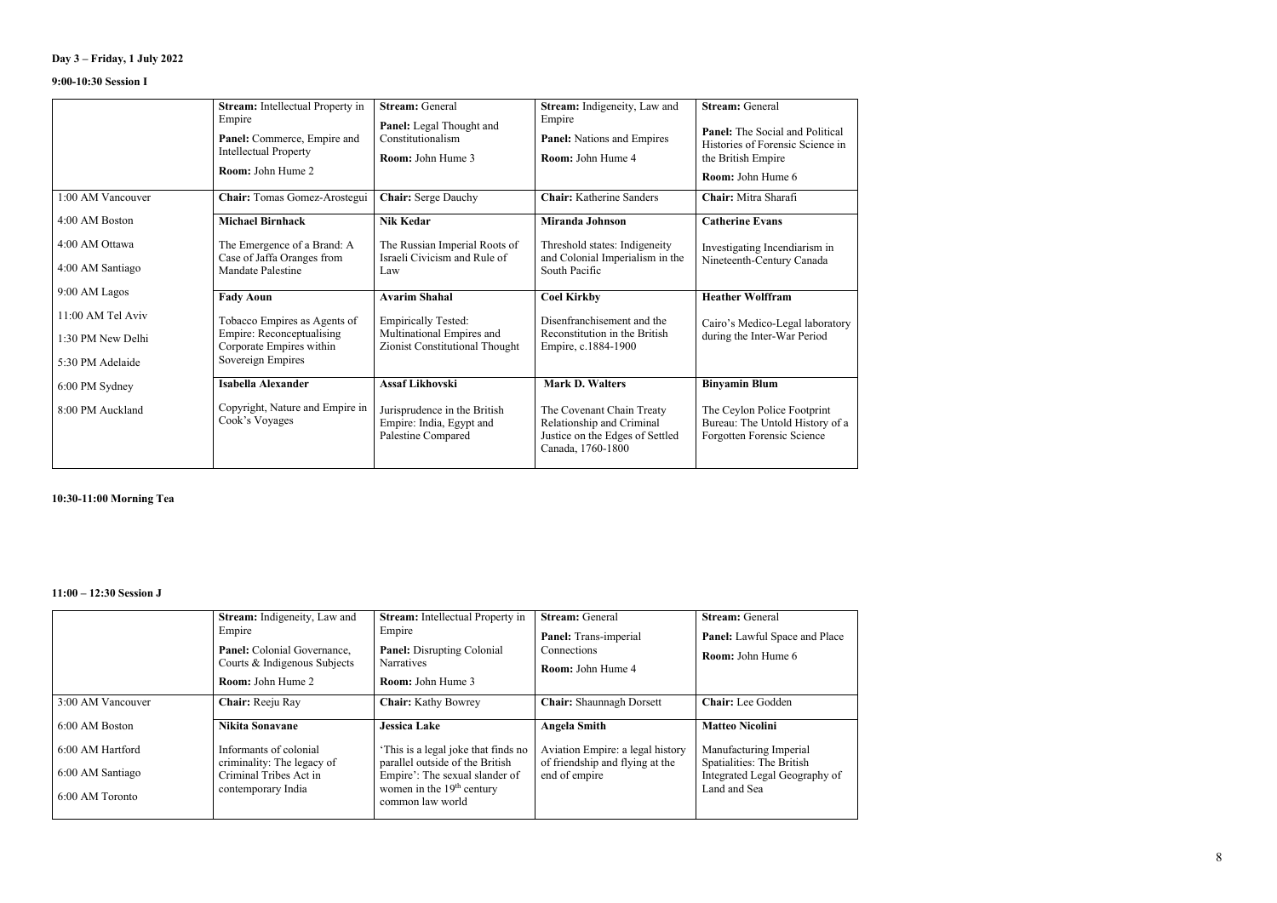## **Day 3 – Friday, 1 July 2022**

### **9:00-10:30 Session I**

|                                    | Stream: Intellectual Property in<br>Empire<br>Panel: Commerce, Empire and<br><b>Intellectual Property</b><br>Room: John Hume 2 | <b>Stream: General</b><br>Panel: Legal Thought and<br>Constitutionalism<br><b>Room: John Hume 3</b> | Stream: Indigeneity, Law and<br>Empire<br><b>Panel:</b> Nations and Empires<br>Room: John Hume 4               | <b>Stream: General</b><br><b>Panel:</b> The Social and Political<br>Histories of Forensic Science in<br>the British Empire<br>Room: John Hume 6 |
|------------------------------------|--------------------------------------------------------------------------------------------------------------------------------|-----------------------------------------------------------------------------------------------------|----------------------------------------------------------------------------------------------------------------|-------------------------------------------------------------------------------------------------------------------------------------------------|
| 1:00 AM Vancouver                  | Chair: Tomas Gomez-Arostegui                                                                                                   | <b>Chair: Serge Dauchy</b>                                                                          | <b>Chair:</b> Katherine Sanders                                                                                | Chair: Mitra Sharafi                                                                                                                            |
| 4:00 AM Boston                     | <b>Michael Birnhack</b>                                                                                                        | <b>Nik Kedar</b>                                                                                    | Miranda Johnson                                                                                                | <b>Catherine Evans</b>                                                                                                                          |
| 4:00 AM Ottawa<br>4:00 AM Santiago | The Emergence of a Brand: A<br>Case of Jaffa Oranges from                                                                      | The Russian Imperial Roots of<br>Israeli Civicism and Rule of                                       | Threshold states: Indigeneity<br>and Colonial Imperialism in the                                               | Investigating Incendiarism in<br>Nineteenth-Century Canada                                                                                      |
|                                    | Mandate Palestine                                                                                                              | Law                                                                                                 | South Pacific                                                                                                  |                                                                                                                                                 |
| 9:00 AM Lagos                      | <b>Fady Aoun</b>                                                                                                               | <b>Avarim Shahal</b>                                                                                | <b>Coel Kirkby</b>                                                                                             | <b>Heather Wolffram</b>                                                                                                                         |
| 11:00 AM Tel Aviv                  | Tobacco Empires as Agents of                                                                                                   | <b>Empirically Tested:</b>                                                                          | Disenfranchisement and the                                                                                     | Cairo's Medico-Legal laboratory                                                                                                                 |
| 1:30 PM New Delhi                  | <b>Empire: Reconceptualising</b><br>Corporate Empires within                                                                   | Multinational Empires and<br>Zionist Constitutional Thought                                         | Reconstitution in the British<br>Empire, c.1884-1900                                                           | during the Inter-War Period                                                                                                                     |
| 5:30 PM Adelaide                   | Sovereign Empires                                                                                                              |                                                                                                     |                                                                                                                |                                                                                                                                                 |
| 6:00 PM Sydney                     | Isabella Alexander                                                                                                             | <b>Assaf Likhovski</b>                                                                              | <b>Mark D. Walters</b>                                                                                         | <b>Binyamin Blum</b>                                                                                                                            |
| 8:00 PM Auckland                   | Copyright, Nature and Empire in<br>Cook's Voyages                                                                              | Jurisprudence in the British<br>Empire: India, Egypt and<br>Palestine Compared                      | The Covenant Chain Treaty<br>Relationship and Criminal<br>Justice on the Edges of Settled<br>Canada, 1760-1800 | The Ceylon Police Footprint<br>Bureau: The Untold History of a<br>Forgotten Forensic Science                                                    |

### **10:30-11:00 Morning Tea**

#### **11:00 – 12:30 Session J**

|                                                         | <b>Stream:</b> Indigeneity, Law and<br>Empire<br>Panel: Colonial Governance,<br>Courts & Indigenous Subjects<br><b>Room:</b> John Hume 2 | <b>Stream:</b> Intellectual Property in<br>Empire<br>Panel: Disrupting Colonial<br><b>Narratives</b><br><b>Room:</b> John Hume 3                                     | <b>Stream:</b> General<br>Panel: Trans-imperial<br>Connections<br><b>Room:</b> John Hume 4 | <b>Stream: General</b><br>Panel: Lawful Space and Place<br><b>Room:</b> John Hume 6                  |
|---------------------------------------------------------|------------------------------------------------------------------------------------------------------------------------------------------|----------------------------------------------------------------------------------------------------------------------------------------------------------------------|--------------------------------------------------------------------------------------------|------------------------------------------------------------------------------------------------------|
| 3:00 AM Vancouver                                       | Chair: Reeju Ray                                                                                                                         | <b>Chair:</b> Kathy Bowrey                                                                                                                                           | <b>Chair:</b> Shaunnagh Dorsett                                                            | Chair: Lee Godden                                                                                    |
| 6:00 AM Boston                                          | Nikita Sonavane                                                                                                                          | <b>Jessica Lake</b>                                                                                                                                                  | <b>Angela Smith</b>                                                                        | <b>Matteo Nicolini</b>                                                                               |
| 6:00 AM Hartford<br>6:00 AM Santiago<br>6:00 AM Toronto | Informants of colonial<br>criminality: The legacy of<br>Criminal Tribes Act in<br>contemporary India                                     | This is a legal joke that finds no<br>parallel outside of the British<br>Empire': The sexual slander of<br>women in the 19 <sup>th</sup> century<br>common law world | Aviation Empire: a legal history<br>of friendship and flying at the<br>end of empire       | Manufacturing Imperial<br>Spatialities: The British<br>Integrated Legal Geography of<br>Land and Sea |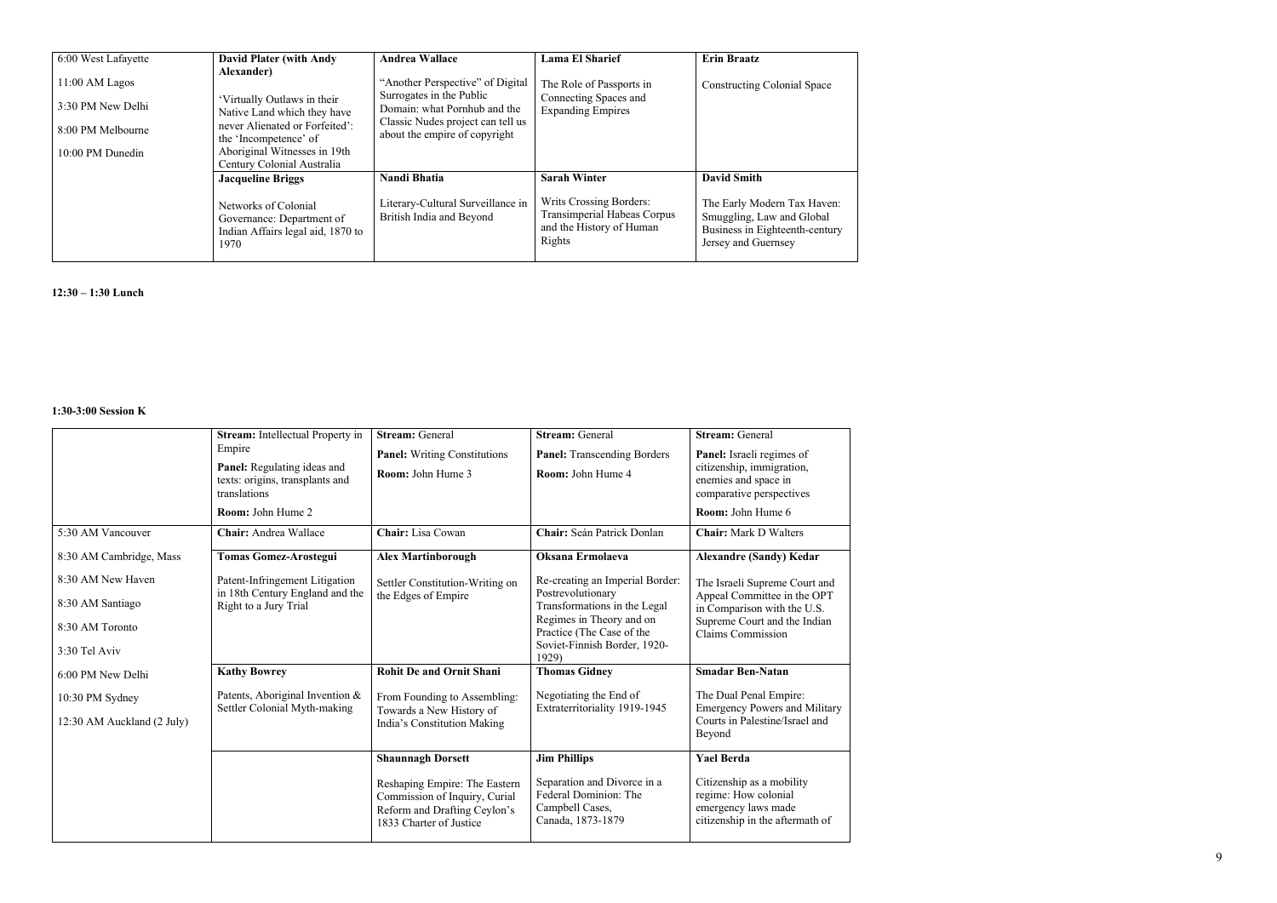| 6:00 West Lafayette<br>11:00 AM Lagos<br>3:30 PM New Delhi<br>8:00 PM Melbourne<br>10:00 PM Dunedin | <b>David Plater (with Andy</b><br>Alexander)<br>'Virtually Outlaws in their<br>Native Land which they have<br>never Alienated or Forfeited':<br>the 'Incompetence' of<br>Aboriginal Witnesses in 19th<br>Century Colonial Australia | <b>Andrea Wallace</b><br>"Another Perspective" of Digital<br>Surrogates in the Public<br>Domain: what Pornhub and the<br>Classic Nudes project can tell us<br>about the empire of copyright | <b>Lama El Sharief</b><br>The Role of Passports in<br>Connecting Spaces and<br><b>Expanding Empires</b>                    | <b>Erin Braatz</b><br><b>Constructing Colonial Space</b>                                                                                |
|-----------------------------------------------------------------------------------------------------|-------------------------------------------------------------------------------------------------------------------------------------------------------------------------------------------------------------------------------------|---------------------------------------------------------------------------------------------------------------------------------------------------------------------------------------------|----------------------------------------------------------------------------------------------------------------------------|-----------------------------------------------------------------------------------------------------------------------------------------|
|                                                                                                     | <b>Jacqueline Briggs</b><br>Networks of Colonial<br>Governance: Department of<br>Indian Affairs legal aid, 1870 to<br>1970                                                                                                          | Nandi Bhatia<br>Literary-Cultural Surveillance in<br>British India and Beyond                                                                                                               | <b>Sarah Winter</b><br><b>Writs Crossing Borders:</b><br>Transimperial Habeas Corpus<br>and the History of Human<br>Rights | <b>David Smith</b><br>The Early Modern Tax Haven:<br>Smuggling, Law and Global<br>Business in Eighteenth-century<br>Jersey and Guernsey |

**12:30 – 1:30 Lunch**

### **1:30-3:00 Session K**

|                                                      | <b>Stream:</b> Intellectual Property in                                                  | <b>Stream: General</b>                                                                                                    | <b>Stream: General</b>                                                                                                | <b>Stream: General</b>                                                                                      |
|------------------------------------------------------|------------------------------------------------------------------------------------------|---------------------------------------------------------------------------------------------------------------------------|-----------------------------------------------------------------------------------------------------------------------|-------------------------------------------------------------------------------------------------------------|
|                                                      | Empire<br>Panel: Regulating ideas and<br>texts: origins, transplants and<br>translations | <b>Panel:</b> Writing Constitutions<br><b>Room:</b> John Hume 3                                                           | <b>Panel:</b> Transcending Borders<br>Room: John Hume 4                                                               | Panel: Israeli regimes of<br>citizenship, immigration,<br>enemies and space in<br>comparative perspectives  |
|                                                      | Room: John Hume 2                                                                        |                                                                                                                           |                                                                                                                       | Room: John Hume 6                                                                                           |
| 5:30 AM Vancouver                                    | Chair: Andrea Wallace                                                                    | Chair: Lisa Cowan                                                                                                         | Chair: Seán Patrick Donlan                                                                                            | <b>Chair:</b> Mark D Walters                                                                                |
| 8:30 AM Cambridge, Mass                              | <b>Tomas Gomez-Arostegui</b>                                                             | <b>Alex Martinborough</b>                                                                                                 | Oksana Ermolaeva                                                                                                      | <b>Alexandre (Sandy) Kedar</b>                                                                              |
| 8:30 AM New Haven                                    | Patent-Infringement Litigation<br>in 18th Century England and the                        | Settler Constitution-Writing on<br>the Edges of Empire                                                                    | Re-creating an Imperial Border:<br>Postrevolutionary                                                                  | The Israeli Supreme Court and<br>Appeal Committee in the OPT                                                |
| 8:30 AM Santiago<br>8:30 AM Toronto<br>3:30 Tel Aviv | Right to a Jury Trial                                                                    |                                                                                                                           | Transformations in the Legal<br>Regimes in Theory and on<br>Practice (The Case of the<br>Soviet-Finnish Border, 1920- | in Comparison with the U.S.<br>Supreme Court and the Indian<br><b>Claims Commission</b>                     |
|                                                      |                                                                                          | <b>Rohit De and Ornit Shani</b>                                                                                           | 1929)                                                                                                                 | <b>Smadar Ben-Natan</b>                                                                                     |
| 6:00 PM New Delhi                                    | <b>Kathy Bowrey</b>                                                                      |                                                                                                                           | <b>Thomas Gidney</b>                                                                                                  |                                                                                                             |
| 10:30 PM Sydney                                      | Patents, Aboriginal Invention &                                                          | From Founding to Assembling:                                                                                              | Negotiating the End of                                                                                                | The Dual Penal Empire:                                                                                      |
| 12:30 AM Auckland (2 July)                           | Settler Colonial Myth-making                                                             | Towards a New History of<br>India's Constitution Making                                                                   | Extraterritoriality 1919-1945                                                                                         | <b>Emergency Powers and Military</b><br>Courts in Palestine/Israel and<br>Beyond                            |
|                                                      |                                                                                          | <b>Shaunnagh Dorsett</b>                                                                                                  | <b>Jim Phillips</b>                                                                                                   | <b>Yael Berda</b>                                                                                           |
|                                                      |                                                                                          | Reshaping Empire: The Eastern<br>Commission of Inquiry, Curial<br>Reform and Drafting Ceylon's<br>1833 Charter of Justice | Separation and Divorce in a<br>Federal Dominion: The<br>Campbell Cases,<br>Canada, 1873-1879                          | Citizenship as a mobility<br>regime: How colonial<br>emergency laws made<br>citizenship in the aftermath of |